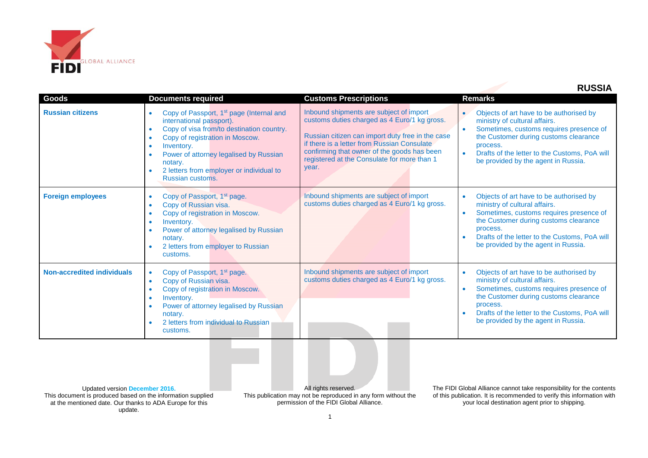

|                                   |                                                                                                                                                                                                                                                                                                                                                                                   |                                                                                                                                                                                                                                                                                                   | <b>RUSSIA</b>                                                                                                                                                                                                                                                                                           |
|-----------------------------------|-----------------------------------------------------------------------------------------------------------------------------------------------------------------------------------------------------------------------------------------------------------------------------------------------------------------------------------------------------------------------------------|---------------------------------------------------------------------------------------------------------------------------------------------------------------------------------------------------------------------------------------------------------------------------------------------------|---------------------------------------------------------------------------------------------------------------------------------------------------------------------------------------------------------------------------------------------------------------------------------------------------------|
| Goods                             | <b>Documents required</b>                                                                                                                                                                                                                                                                                                                                                         | <b>Customs Prescriptions</b>                                                                                                                                                                                                                                                                      | Remarks                                                                                                                                                                                                                                                                                                 |
| <b>Russian citizens</b>           | Copy of Passport, 1 <sup>st</sup> page (Internal and<br>$\bullet$<br>international passport).<br>Copy of visa from/to destination country.<br>$\bullet$<br>Copy of registration in Moscow.<br>$\bullet$<br>Inventory.<br>$\bullet$<br>Power of attorney legalised by Russian<br>$\bullet$<br>notary.<br>2 letters from employer or individual to<br>$\bullet$<br>Russian customs. | Inbound shipments are subject of import<br>customs duties charged as 4 Euro/1 kg gross.<br>Russian citizen can import duty free in the case<br>if there is a letter from Russian Consulate<br>confirming that owner of the goods has been<br>registered at the Consulate for more than 1<br>year. | Objects of art have to be authorised by<br>$\bullet$<br>ministry of cultural affairs.<br>Sometimes, customs requires presence of<br>$\bullet$<br>the Customer during customs clearance<br>process.<br>Drafts of the letter to the Customs, PoA will<br>$\bullet$<br>be provided by the agent in Russia. |
| <b>Foreign employees</b>          | Copy of Passport, 1 <sup>st</sup> page.<br>$\bullet$<br>Copy of Russian visa.<br>$\bullet$<br>Copy of registration in Moscow.<br>$\bullet$<br>Inventory.<br>$\bullet$<br>Power of attorney legalised by Russian<br>$\bullet$<br>notary.<br>2 letters from employer to Russian<br>$\bullet$<br>customs.                                                                            | Inbound shipments are subject of import<br>customs duties charged as 4 Euro/1 kg gross.                                                                                                                                                                                                           | Objects of art have to be authorised by<br>ministry of cultural affairs.<br>Sometimes, customs requires presence of<br>$\bullet$<br>the Customer during customs clearance<br>process.<br>Drafts of the letter to the Customs, PoA will<br>be provided by the agent in Russia.                           |
| <b>Non-accredited individuals</b> | Copy of Passport, 1 <sup>st</sup> page.<br>$\bullet$<br>Copy of Russian visa.<br>$\bullet$<br>Copy of registration in Moscow.<br>$\bullet$<br>Inventory.<br>$\bullet$<br>Power of attorney legalised by Russian<br>$\bullet$<br>notary.<br>2 letters from individual to Russian<br>customs.                                                                                       | Inbound shipments are subject of import<br>customs duties charged as 4 Euro/1 kg gross.                                                                                                                                                                                                           | Objects of art have to be authorised by<br>$\bullet$<br>ministry of cultural affairs.<br>Sometimes, customs requires presence of<br>the Customer during customs clearance<br>process.<br>Drafts of the letter to the Customs, PoA will<br>be provided by the agent in Russia.                           |

Updated version **December 2016.** This document is produced based on the information supplied at the mentioned date. Our thanks to ADA Europe for this update.

All rights reserved. This publication may not be reproduced in any form without the permission of the FIDI Global Alliance.

The FIDI Global Alliance cannot take responsibility for the contents of this publication. It is recommended to verify this information with your local destination agent prior to shipping.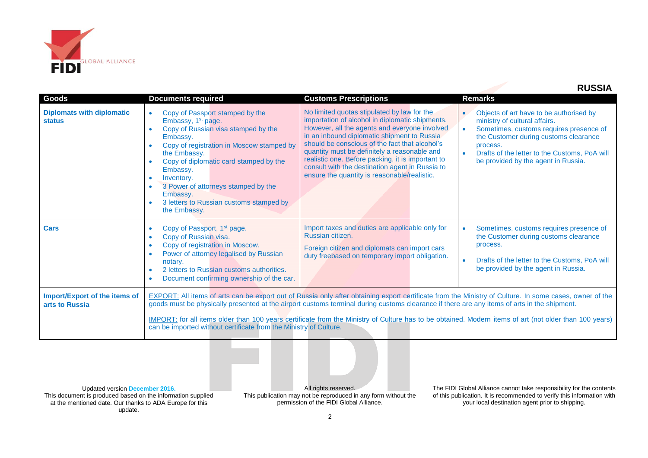

 **RUSSIA**

| <b>Goods</b>                                      | <b>Documents required</b>                                                                                                                                                                                                                                                                                                                                                                     | <b>Customs Prescriptions</b>                                                                                                                                                                                                                                                                                                                                                                                                                             | <b>Remarks</b>                                                                                                                                                                                                                                                   |  |
|---------------------------------------------------|-----------------------------------------------------------------------------------------------------------------------------------------------------------------------------------------------------------------------------------------------------------------------------------------------------------------------------------------------------------------------------------------------|----------------------------------------------------------------------------------------------------------------------------------------------------------------------------------------------------------------------------------------------------------------------------------------------------------------------------------------------------------------------------------------------------------------------------------------------------------|------------------------------------------------------------------------------------------------------------------------------------------------------------------------------------------------------------------------------------------------------------------|--|
| <b>Diplomats with diplomatic</b><br><b>status</b> | Copy of Passport stamped by the<br>$\bullet$<br>Embassy, 1 <sup>st</sup> page.<br>Copy of Russian visa stamped by the<br>$\bullet$<br>Embassy.<br>Copy of registration in Moscow stamped by<br>the Embassy.<br>Copy of diplomatic card stamped by the<br>Embassy.<br>Inventory.<br>3 Power of attorneys stamped by the<br>Embassy.<br>3 letters to Russian customs stamped by<br>the Embassy. | No limited quotas stipulated by law for the<br>importation of alcohol in diplomatic shipments.<br>However, all the agents and everyone involved<br>in an inbound diplomatic shipment to Russia<br>should be conscious of the fact that alcohol's<br>quantity must be definitely a reasonable and<br>realistic one. Before packing, it is important to<br>consult with the destination agent in Russia to<br>ensure the quantity is reasonable/realistic. | Objects of art have to be authorised by<br>ministry of cultural affairs.<br>Sometimes, customs requires presence of<br>the Customer during customs clearance<br>process.<br>Drafts of the letter to the Customs, PoA will<br>be provided by the agent in Russia. |  |
| <b>Cars</b>                                       | Copy of Passport, 1 <sup>st</sup> page.<br>$\bullet$<br>Copy of Russian visa.<br>$\bullet$<br>Copy of registration in Moscow.<br>Power of attorney legalised by Russian<br>$\bullet$<br>notary.<br>2 letters to Russian customs authorities.<br>$\bullet$<br>Document confirming ownership of the car.<br>$\bullet$                                                                           | Import taxes and duties are applicable only for<br>Russian citizen.<br>Foreign citizen and diplomats can import cars<br>duty freebased on temporary import obligation.                                                                                                                                                                                                                                                                                   | Sometimes, customs requires presence of<br>the Customer during customs clearance<br>process.<br>Drafts of the letter to the Customs, PoA will<br>be provided by the agent in Russia.                                                                             |  |
| Import/Export of the items of<br>arts to Russia   | <b>EXPORT:</b> All items of arts can be export out of Russia only after obtaining export certificate from the Ministry of Culture. In some cases, owner of the<br>goods must be physically presented at the airport customs terminal during customs clearance if there are any items of arts in the shipment.                                                                                 |                                                                                                                                                                                                                                                                                                                                                                                                                                                          |                                                                                                                                                                                                                                                                  |  |
|                                                   | IMPORT: for all items older than 100 years certificate from the Ministry of Culture has to be obtained. Modern items of art (not older than 100 years)<br>can be imported without certificate from the Ministry of Culture.                                                                                                                                                                   |                                                                                                                                                                                                                                                                                                                                                                                                                                                          |                                                                                                                                                                                                                                                                  |  |

Updated version **December 2016.** This document is produced based on the information supplied at the mentioned date. Our thanks to ADA Europe for this update.

All rights reserved. This publication may not be reproduced in any form without the permission of the FIDI Global Alliance.

The FIDI Global Alliance cannot take responsibility for the contents of this publication. It is recommended to verify this information with your local destination agent prior to shipping.